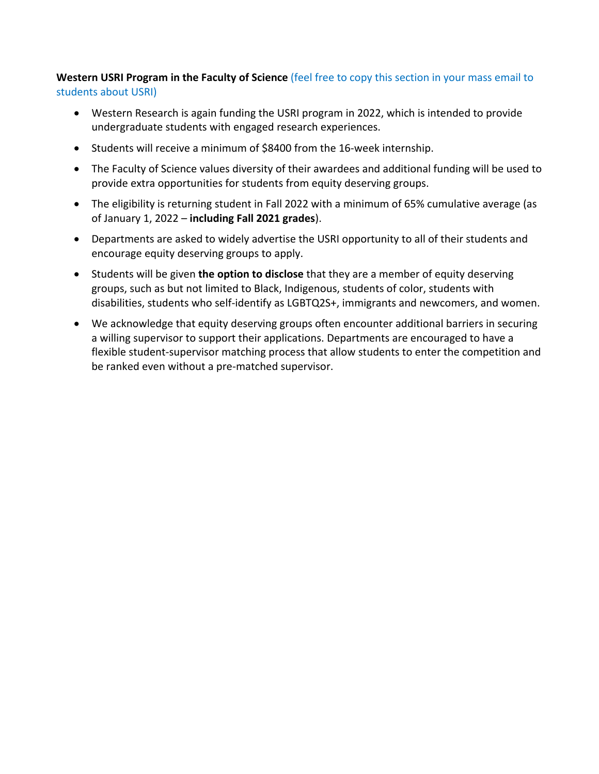## **Western USRI Program in the Faculty of Science** (feel free to copy this section in your mass email to students about USRI)

- Western Research is again funding the USRI program in 2022, which is intended to provide undergraduate students with engaged research experiences.
- Students will receive a minimum of \$8400 from the 16-week internship.
- The Faculty of Science values diversity of their awardees and additional funding will be used to provide extra opportunities for students from equity deserving groups.
- The eligibility is returning student in Fall 2022 with a minimum of 65% cumulative average (as of January 1, 2022 – **including Fall 2021 grades**).
- Departments are asked to widely advertise the USRI opportunity to all of their students and encourage equity deserving groups to apply.
- Students will be given **the option to disclose** that they are a member of equity deserving groups, such as but not limited to Black, Indigenous, students of color, students with disabilities, students who self-identify as LGBTQ2S+, immigrants and newcomers, and women.
- We acknowledge that equity deserving groups often encounter additional barriers in securing a willing supervisor to support their applications. Departments are encouraged to have a flexible student-supervisor matching process that allow students to enter the competition and be ranked even without a pre-matched supervisor.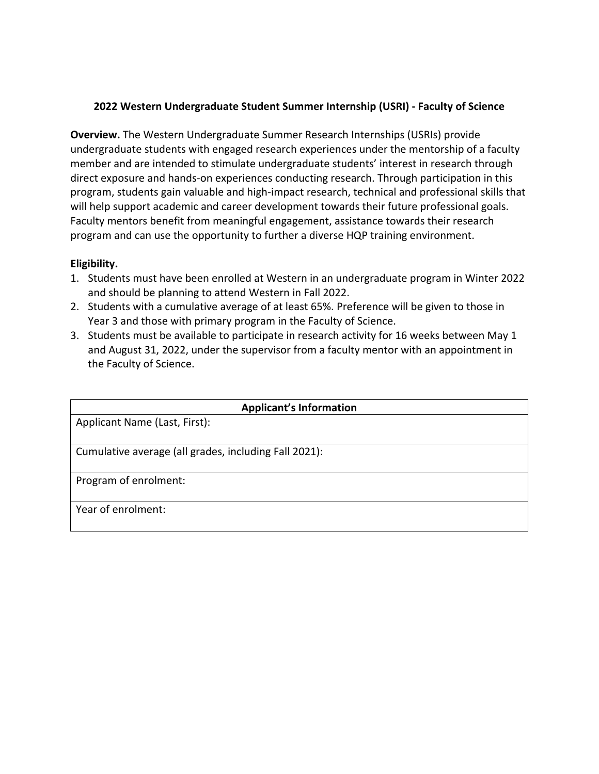## **2022 Western Undergraduate Student Summer Internship (USRI) - Faculty of Science**

**Overview.** The Western Undergraduate Summer Research Internships (USRIs) provide undergraduate students with engaged research experiences under the mentorship of a faculty member and are intended to stimulate undergraduate students' interest in research through direct exposure and hands-on experiences conducting research. Through participation in this program, students gain valuable and high-impact research, technical and professional skills that will help support academic and career development towards their future professional goals. Faculty mentors benefit from meaningful engagement, assistance towards their research program and can use the opportunity to further a diverse HQP training environment.

## **Eligibility.**

- 1. Students must have been enrolled at Western in an undergraduate program in Winter 2022 and should be planning to attend Western in Fall 2022.
- 2. Students with a cumulative average of at least 65%. Preference will be given to those in Year 3 and those with primary program in the Faculty of Science.
- 3. Students must be available to participate in research activity for 16 weeks between May 1 and August 31, 2022, under the supervisor from a faculty mentor with an appointment in the Faculty of Science.

| <b>Applicant's Information</b>                        |
|-------------------------------------------------------|
| Applicant Name (Last, First):                         |
| Cumulative average (all grades, including Fall 2021): |
| Program of enrolment:                                 |
| Year of enrolment:                                    |